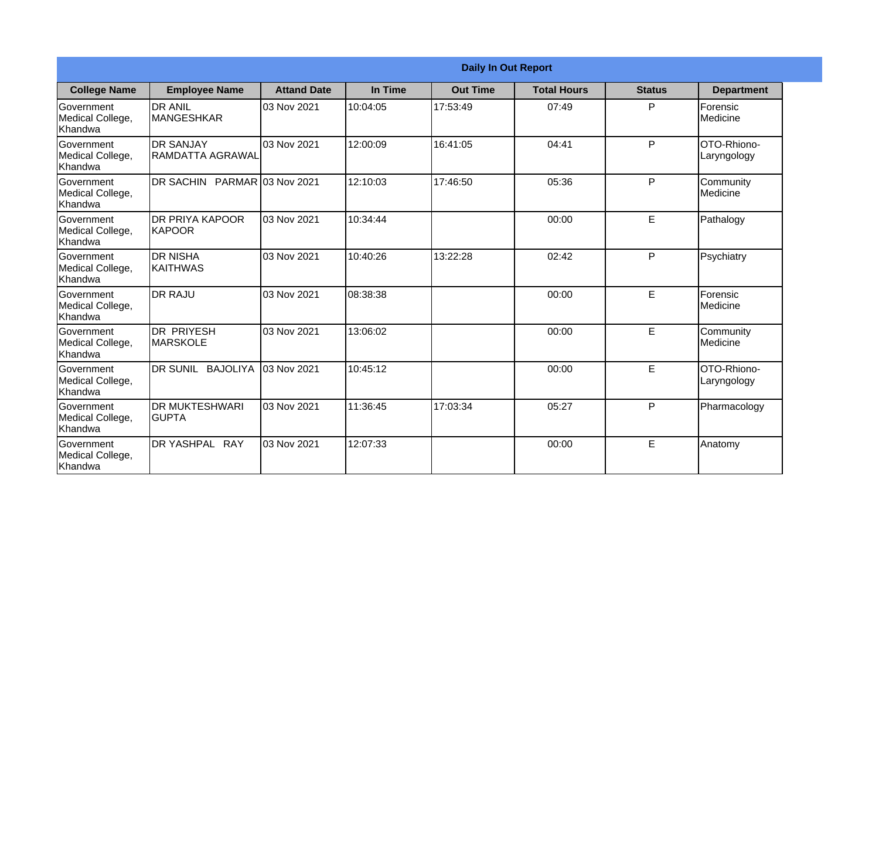|                                                         |                                             | <b>Daily In Out Report</b> |          |                 |                    |               |                                   |
|---------------------------------------------------------|---------------------------------------------|----------------------------|----------|-----------------|--------------------|---------------|-----------------------------------|
| <b>College Name</b>                                     | <b>Employee Name</b>                        | <b>Attand Date</b>         | In Time  | <b>Out Time</b> | <b>Total Hours</b> | <b>Status</b> | <b>Department</b>                 |
| Government<br>Medical College,<br>Khandwa               | <b>DR ANIL</b><br><b>MANGESHKAR</b>         | 03 Nov 2021                | 10:04:05 | 17:53:49        | 07:49              | P             | Forensic<br><b>IMedicine</b>      |
| Government<br>Medical College,<br>Khandwa               | <b>DR SANJAY</b><br><b>RAMDATTA AGRAWAL</b> | 03 Nov 2021                | 12:00:09 | 16:41:05        | 04:41              | $\mathsf{P}$  | OTO-Rhiono-<br>Laryngology        |
| Government<br>Medical College,<br>Khandwa               | DR SACHIN PARMAR 03 Nov 2021                |                            | 12:10:03 | 17:46:50        | 05:36              | P             | Community<br><b>I</b> Medicine    |
| <b>Government</b><br>Medical College,<br>Khandwa        | <b>DR PRIYA KAPOOR</b><br>IKAPOOR           | 03 Nov 2021                | 10:34:44 |                 | 00:00              | E             | Pathalogy                         |
| <b>Government</b><br>Medical College,<br><b>Khandwa</b> | <b>DR NISHA</b><br><b>KAITHWAS</b>          | 03 Nov 2021                | 10:40:26 | 13:22:28        | 02:42              | P             | Psychiatry                        |
| Government<br>Medical College,<br>Khandwa               | <b>DR RAJU</b>                              | 03 Nov 2021                | 08:38:38 |                 | 00:00              | E             | Forensic<br>Medicine              |
| Government<br>Medical College,<br>Khandwa               | <b>DR PRIYESH</b><br>MARSKOLE               | 03 Nov 2021                | 13:06:02 |                 | 00:00              | E             | Community<br>Medicine             |
| <b>Government</b><br>Medical College,<br>Khandwa        | DR SUNIL BAJOLIYA                           | 03 Nov 2021                | 10:45:12 |                 | 00:00              | E             | <b>OTO-Rhiono-</b><br>Laryngology |
| Government<br>Medical College,<br>Khandwa               | <b>DR MUKTESHWARI</b><br><b>GUPTA</b>       | 03 Nov 2021                | 11:36:45 | 17:03:34        | 05:27              | P             | Pharmacology                      |
| Government<br>Medical College,<br>Khandwa               | <b>DR YASHPAL RAY</b>                       | 03 Nov 2021                | 12:07:33 |                 | 00:00              | E             | Anatomy                           |